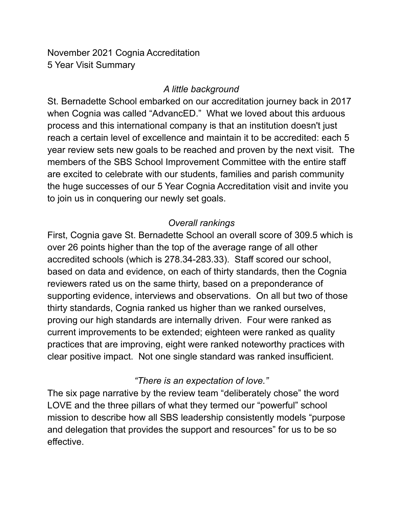November 2021 Cognia Accreditation 5 Year Visit Summary

### *A little background*

St. Bernadette School embarked on our accreditation journey back in 2017 when Cognia was called "AdvancED." What we loved about this arduous process and this international company is that an institution doesn't just reach a certain level of excellence and maintain it to be accredited: each 5 year review sets new goals to be reached and proven by the next visit. The members of the SBS School Improvement Committee with the entire staff are excited to celebrate with our students, families and parish community the huge successes of our 5 Year Cognia Accreditation visit and invite you to join us in conquering our newly set goals.

# *Overall rankings*

First, Cognia gave St. Bernadette School an overall score of 309.5 which is over 26 points higher than the top of the average range of all other accredited schools (which is 278.34-283.33). Staff scored our school, based on data and evidence, on each of thirty standards, then the Cognia reviewers rated us on the same thirty, based on a preponderance of supporting evidence, interviews and observations. On all but two of those thirty standards, Cognia ranked us higher than we ranked ourselves, proving our high standards are internally driven. Four were ranked as current improvements to be extended; eighteen were ranked as quality practices that are improving, eight were ranked noteworthy practices with clear positive impact. Not one single standard was ranked insufficient.

# *"There is an expectation of love."*

The six page narrative by the review team "deliberately chose" the word LOVE and the three pillars of what they termed our "powerful" school mission to describe how all SBS leadership consistently models "purpose and delegation that provides the support and resources" for us to be so effective.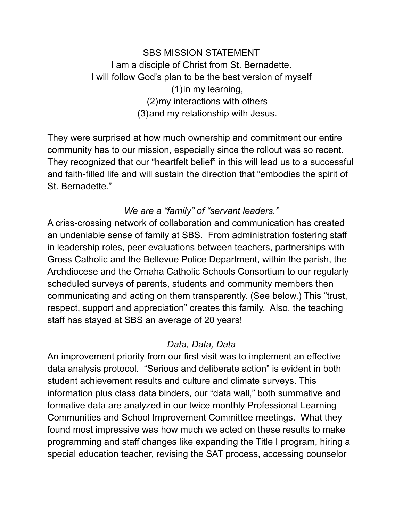SBS MISSION STATEMENT I am a disciple of Christ from St. Bernadette. I will follow God's plan to be the best version of myself (1)in my learning, (2)my interactions with others (3)and my relationship with Jesus.

They were surprised at how much ownership and commitment our entire community has to our mission, especially since the rollout was so recent. They recognized that our "heartfelt belief" in this will lead us to a successful and faith-filled life and will sustain the direction that "embodies the spirit of St. Bernadette."

#### *We are a "family" of "servant leaders."*

A criss-crossing network of collaboration and communication has created an undeniable sense of family at SBS. From administration fostering staff in leadership roles, peer evaluations between teachers, partnerships with Gross Catholic and the Bellevue Police Department, within the parish, the Archdiocese and the Omaha Catholic Schools Consortium to our regularly scheduled surveys of parents, students and community members then communicating and acting on them transparently. (See below.) This "trust, respect, support and appreciation" creates this family. Also, the teaching staff has stayed at SBS an average of 20 years!

# *Data, Data, Data*

An improvement priority from our first visit was to implement an effective data analysis protocol. "Serious and deliberate action" is evident in both student achievement results and culture and climate surveys. This information plus class data binders, our "data wall," both summative and formative data are analyzed in our twice monthly Professional Learning Communities and School Improvement Committee meetings. What they found most impressive was how much we acted on these results to make programming and staff changes like expanding the Title I program, hiring a special education teacher, revising the SAT process, accessing counselor